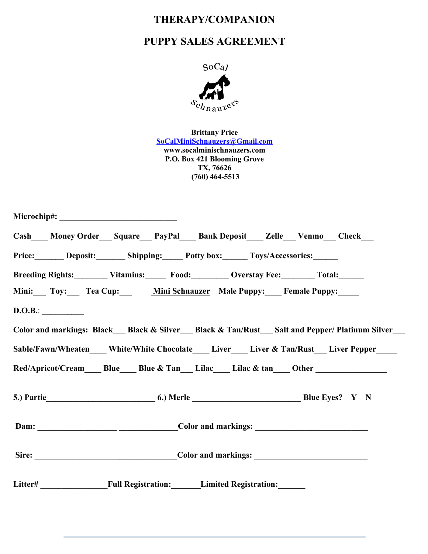## **THERAPY/COMPANION**

## **PUPPY SALES AGREEMENT**



**Brittany Price SoCalMiniSchnauzers@Gmail.com www.socalminischnauzers.com P.O. Box 421 Blooming Grove TX, 76626 (760) 464-5513**

| Cash___Money Order__Square__PayPal__Bank Deposit__Zelle_Venmo_Check__                                |  |  |  |  |                                                                                                |
|------------------------------------------------------------------------------------------------------|--|--|--|--|------------------------------------------------------------------------------------------------|
| Price: Deposit: Shipping: Potty box: Toys/Accessories:                                               |  |  |  |  |                                                                                                |
| Breeding Rights: Vitamins: Food: Overstay Fee: Total: Total:                                         |  |  |  |  |                                                                                                |
| Mini: Toy: Tea Cup: Mini Schnauzer Male Puppy: Female Puppy:                                         |  |  |  |  |                                                                                                |
| D.O.B.:                                                                                              |  |  |  |  |                                                                                                |
|                                                                                                      |  |  |  |  | Color and markings: Black__Black & Silver__Black & Tan/Rust__Salt and Pepper/Platinum Silver__ |
|                                                                                                      |  |  |  |  | Sable/Fawn/Wheaten____White/White Chocolate____Liver___Liver & Tan/Rust__Liver Pepper____      |
| Red/Apricot/Cream______ Blue______ Blue & Tan_____ Lilac_____ Lilac & tan_____ Other _______________ |  |  |  |  |                                                                                                |
|                                                                                                      |  |  |  |  |                                                                                                |
|                                                                                                      |  |  |  |  |                                                                                                |
|                                                                                                      |  |  |  |  |                                                                                                |
| Litter# Full Registration: Limited Registration:                                                     |  |  |  |  |                                                                                                |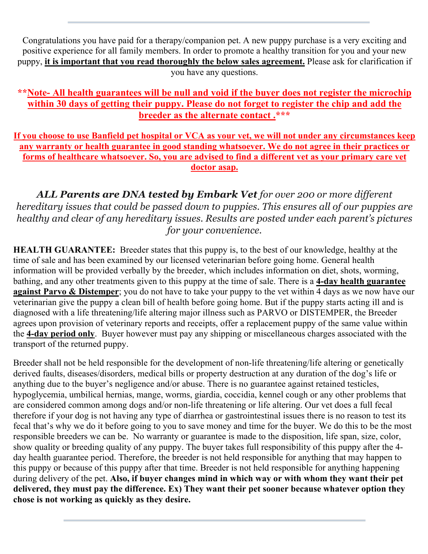Congratulations you have paid for a therapy/companion pet. A new puppy purchase is a very exciting and positive experience for all family members. In order to promote a healthy transition for you and your new puppy, **it is important that you read thoroughly the below sales agreement.** Please ask for clarification if you have any questions.

## **\*\*Note- All health guarantees will be null and void if the buyer does not register the microchip within 30 days of getting their puppy. Please do not forget to register the chip and add the breeder as the alternate contact .\*\*\***

**If you choose to use Banfield pet hospital or VCA as your vet, we will not under any circumstances keep any warranty or health guarantee in good standing whatsoever. We do not agree in their practices or forms of healthcare whatsoever. So, you are advised to find a different vet as your primary care vet doctor asap.**

*ALL Parents are DNA tested by Embark Vet for over 200 or more different hereditary issues that could be passed down to puppies. This ensures all of our puppies are healthy and clear of any hereditary issues. Results are posted under each parent's pictures for your convenience.*

**HEALTH GUARANTEE:** Breeder states that this puppy is, to the best of our knowledge, healthy at the time of sale and has been examined by our licensed veterinarian before going home. General health information will be provided verbally by the breeder, which includes information on diet, shots, worming, bathing, and any other treatments given to this puppy at the time of sale. There is a **4-day health guarantee against Parvo & Distemper**; you do not have to take your puppy to the vet within 4 days as we now have our veterinarian give the puppy a clean bill of health before going home. But if the puppy starts acting ill and is diagnosed with a life threatening/life altering major illness such as PARVO or DISTEMPER, the Breeder agrees upon provision of veterinary reports and receipts, offer a replacement puppy of the same value within the **4-day period only**. Buyer however must pay any shipping or miscellaneous charges associated with the transport of the returned puppy.

Breeder shall not be held responsible for the development of non-life threatening/life altering or genetically derived faults, diseases/disorders, medical bills or property destruction at any duration of the dog's life or anything due to the buyer's negligence and/or abuse. There is no guarantee against retained testicles, hypoglycemia, umbilical hernias, mange, worms, giardia, coccidia, kennel cough or any other problems that are considered common among dogs and/or non-life threatening or life altering. Our vet does a full fecal therefore if your dog is not having any type of diarrhea or gastrointestinal issues there is no reason to test its fecal that's why we do it before going to you to save money and time for the buyer. We do this to be the most responsible breeders we can be. No warranty or guarantee is made to the disposition, life span, size, color, show quality or breeding quality of any puppy. The buyer takes full responsibility of this puppy after the 4 day health guarantee period. Therefore, the breeder is not held responsible for anything that may happen to this puppy or because of this puppy after that time. Breeder is not held responsible for anything happening during delivery of the pet. **Also, if buyer changes mind in which way or with whom they want their pet delivered, they must pay the difference. Ex) They want their pet sooner because whatever option they chose is not working as quickly as they desire.**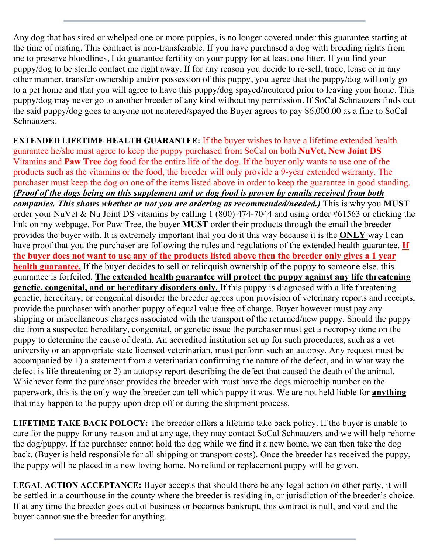Any dog that has sired or whelped one or more puppies, is no longer covered under this guarantee starting at the time of mating. This contract is non-transferable. If you have purchased a dog with breeding rights from me to preserve bloodlines, I do guarantee fertility on your puppy for at least one litter. If you find your puppy/dog to be sterile contact me right away. If for any reason you decide to re-sell, trade, lease or in any other manner, transfer ownership and/or possession of this puppy, you agree that the puppy/dog will only go to a pet home and that you will agree to have this puppy/dog spayed/neutered prior to leaving your home. This puppy/dog may never go to another breeder of any kind without my permission. If SoCal Schnauzers finds out the said puppy/dog goes to anyone not neutered/spayed the Buyer agrees to pay \$6,000.00 as a fine to SoCal Schnauzers.

**EXTENDED LIFETIME HEALTH GUARANTEE:** If the buyer wishes to have a lifetime extended health guarantee he/she must agree to keep the puppy purchased from SoCal on both **NuVet, New Joint DS** Vitamins and **Paw Tree** dog food for the entire life of the dog. If the buyer only wants to use one of the products such as the vitamins or the food, the breeder will only provide a 9-year extended warranty. The purchaser must keep the dog on one of the items listed above in order to keep the guarantee in good standing. *(Proof of the dogs being on this supplement and or dog food is proven by emails received from both companies. This shows whether or not you are ordering as recommended/needed.)* This is why you **MUST** order your NuVet & Nu Joint DS vitamins by calling 1 (800) 474-7044 and using order #61563 or clicking the link on my webpage. For Paw Tree, the buyer **MUST** order their products through the email the breeder provides the buyer with. It is extremely important that you do it this way because it is the **ONLY** way I can have proof that you the purchaser are following the rules and regulations of the extended health guarantee. **If the buyer does not want to use any of the products listed above then the breeder only gives a 1 year health guarantee.** If the buyer decides to sell or relinquish ownership of the puppy to someone else, this guarantee is forfeited. **The extended health guarantee will protect the puppy against any life threatening genetic, congenital, and or hereditary disorders only.** If this puppy is diagnosed with a life threatening genetic, hereditary, or congenital disorder the breeder agrees upon provision of veterinary reports and receipts, provide the purchaser with another puppy of equal value free of charge. Buyer however must pay any shipping or miscellaneous charges associated with the transport of the returned/new puppy. Should the puppy die from a suspected hereditary, congenital, or genetic issue the purchaser must get a necropsy done on the puppy to determine the cause of death. An accredited institution set up for such procedures, such as a vet university or an appropriate state licensed veterinarian, must perform such an autopsy. Any request must be accompanied by 1) a statement from a veterinarian confirming the nature of the defect, and in what way the defect is life threatening or 2) an autopsy report describing the defect that caused the death of the animal. Whichever form the purchaser provides the breeder with must have the dogs microchip number on the paperwork, this is the only way the breeder can tell which puppy it was. We are not held liable for **anything** that may happen to the puppy upon drop off or during the shipment process.

**LIFETIME TAKE BACK POLOCY:** The breeder offers a lifetime take back policy. If the buyer is unable to care for the puppy for any reason and at any age, they may contact SoCal Schnauzers and we will help rehome the dog/puppy. If the purchaser cannot hold the dog while we find it a new home, we can then take the dog back. (Buyer is held responsible for all shipping or transport costs). Once the breeder has received the puppy, the puppy will be placed in a new loving home. No refund or replacement puppy will be given.

**LEGAL ACTION ACCEPTANCE:** Buyer accepts that should there be any legal action on ether party, it will be settled in a courthouse in the county where the breeder is residing in, or jurisdiction of the breeder's choice. If at any time the breeder goes out of business or becomes bankrupt, this contract is null, and void and the buyer cannot sue the breeder for anything.